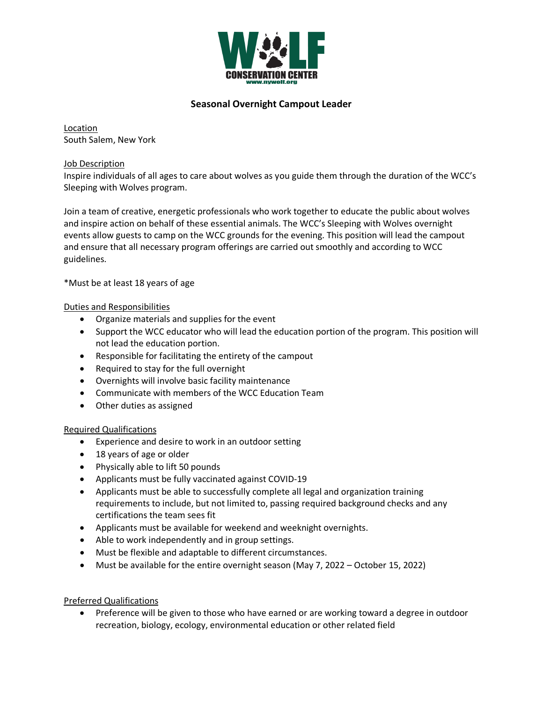

# **Seasonal Overnight Campout Leader**

Location South Salem, New York

Job Description

Inspire individuals of all ages to care about wolves as you guide them through the duration of the WCC's Sleeping with Wolves program.

Join a team of creative, energetic professionals who work together to educate the public about wolves and inspire action on behalf of these essential animals. The WCC's Sleeping with Wolves overnight events allow guests to camp on the WCC grounds for the evening. This position will lead the campout and ensure that all necessary program offerings are carried out smoothly and according to WCC guidelines.

\*Must be at least 18 years of age

### Duties and Responsibilities

- Organize materials and supplies for the event
- Support the WCC educator who will lead the education portion of the program. This position will not lead the education portion.
- Responsible for facilitating the entirety of the campout
- Required to stay for the full overnight
- Overnights will involve basic facility maintenance
- Communicate with members of the WCC Education Team
- Other duties as assigned

### Required Qualifications

- Experience and desire to work in an outdoor setting
- 18 years of age or older
- Physically able to lift 50 pounds
- Applicants must be fully vaccinated against COVID-19
- Applicants must be able to successfully complete all legal and organization training requirements to include, but not limited to, passing required background checks and any certifications the team sees fit
- Applicants must be available for weekend and weeknight overnights.
- Able to work independently and in group settings.
- Must be flexible and adaptable to different circumstances.
- Must be available for the entire overnight season (May 7, 2022 October 15, 2022)

### Preferred Qualifications

• Preference will be given to those who have earned or are working toward a degree in outdoor recreation, biology, ecology, environmental education or other related field